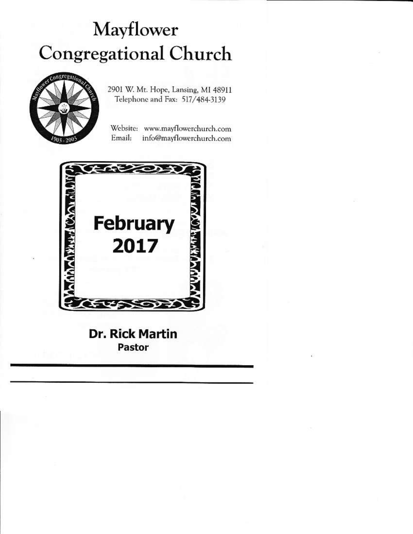# Mayflower **Congregational Church**



2901 W. Mt. Hope, Lansing, MI 48911 Telephone and Fax: 517/484-3139

Website: www.mayflowerchurch.com Email: info@mayflowerchurch.com



**Dr. Rick Martin** Pastor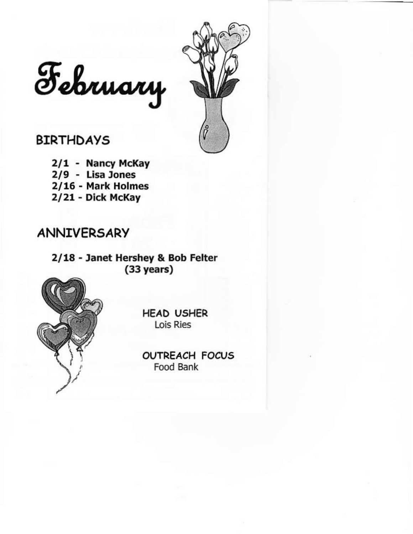

February

## **BIRTHDAYS**

2/1 - Nancy McKay  $2/9$  - Lisa Jones 2/16 - Mark Holmes 2/21 - Dick McKay

### **ANNIVERSARY**

2/18 - Janet Hershey & Bob Felter  $(33 \text{ years})$ 



**HEAD USHER** Lois Ries

**OUTREACH FOCUS** Food Bank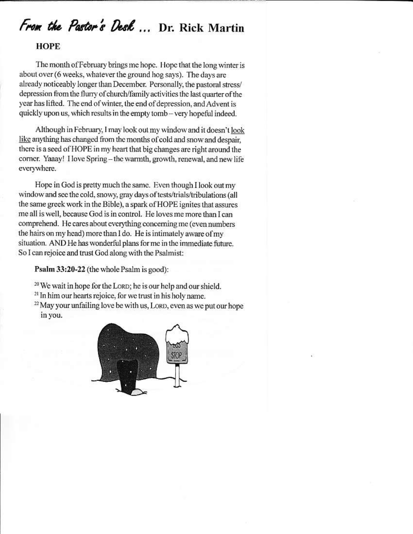## From the Pastor's Desk ... Dr. Rick Martin

#### **HOPE**

The month of February brings me hope. Hope that the long winter is about over (6 weeks, whatever the ground hog says). The days are already noticeably longer than December. Personally, the pastoral stress/ depression from the flurry of church/family activities the last quarter of the vear has lifted. The end of winter, the end of depression, and Advent is quickly upon us, which results in the empty tomb - very hopeful indeed.

Although in February, I may look out my window and it doesn't look like anything has changed from the months of cold and snow and despair, there is a seed of HOPE in my heart that big changes are right around the corner. Yaaay! I love Spring - the warmth, growth, renewal, and new life everywhere.

Hope in God is pretty much the same. Even though I look out my window and see the cold, snowy, gray days of tests/trials/tribulations (all the same greek work in the Bible), a spark of HOPE ignites that assures me all is well, because God is in control. He loves me more than I can comprehend. He cares about everything concerning me (even numbers the hairs on my head) more than I do. He is intimately aware of my situation. AND He has wonderful plans for me in the immediate future. So I can rejoice and trust God along with the Psalmist:

Psalm 33:20-22 (the whole Psalm is good):

- <sup>20</sup> We wait in hope for the LORD; he is our help and our shield.
- <sup>21</sup> In him our hearts rejoice, for we trust in his holy name.
- <sup>22</sup> May your unfailing love be with us, LORD, even as we put our hope in you.

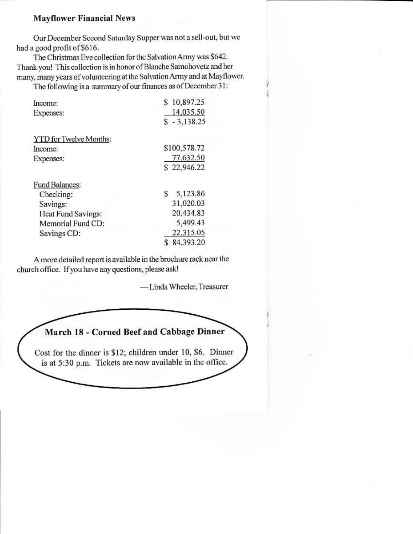#### **Mayflower Financial News**

Our December Second Saturday Supper was not a sell-out, but we had a good profit of \$616.

The Christmas Eve collection for the Salvation Army was \$642. Thank you! This collection is in honor of Blanche Samohovetz and her many, many years of volunteering at the Salvation Army and at Mayflower.

The following is a summary of our finances as of December 31:

| Income:                       | 10,897.25      |
|-------------------------------|----------------|
| Expenses:                     | 14,035.50      |
|                               | $$ -3,138.25$  |
| <b>YTD</b> for Twelve Months: |                |
| Income:                       | \$100,578.72   |
| <b>Expenses:</b>              | 77,632.50      |
|                               | \$22,946.22    |
| Fund Balances:                |                |
| Checking:                     | 5,123.86<br>\$ |
| Savings:                      | 31,020.03      |
| Heat Fund Savings:            | 20,434.83      |
| Memorial Fund CD:             | 5,499.43       |
| Savings CD:                   | 22,315.05      |
|                               | 84,393.20      |

A more detailed report is available in the brochure rack near the church office. If you have any questions, please ask!

-Linda Wheeler, Treasurer

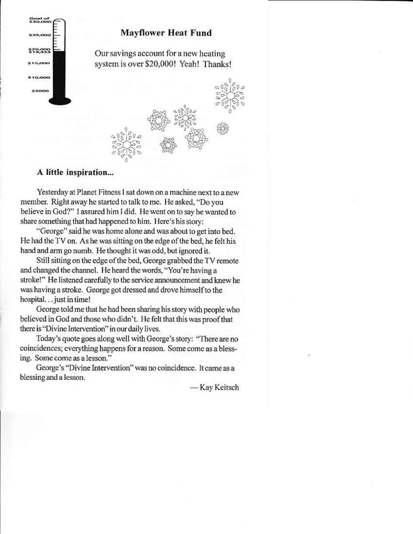

#### **Mayflower Heat Fund**

Our savings account for a new heating system is over \$20,000! Yeah! Thanks!

#### A little inspiration...

Yesterday at Planet Fitness I sat down on a machine next to a new member. Right away he started to talk to me. He asked, "Do you believe in God?" I assured him I did. He went on to say he wanted to share something that had happened to him. Here's his story:

"George" said he was home alone and was about to get into bed. He had the TV on. As he was sitting on the edge of the bed, he felt his hand and arm go numb. He thought it was odd, but ignored it.

Still sitting on the edge of the bed, George grabbed the TV remote and changed the channel. He heard the words, "You're having a stroke!" He listened carefully to the service announcement and knew he was having a stroke. George got dressed and drove himself to the hospital... just in time!

George told me that he had been sharing his story with people who believed in God and those who didn't. He felt that this was proof that there is "Divine Intervention" in our daily lives.

Today's quote goes along well with George's story: "There are no coincidences; everything happens for a reason. Some come as a blessing. Some come as a lesson."

George's "Divine Intervention" was no coincidence. It came as a blessing and a lesson.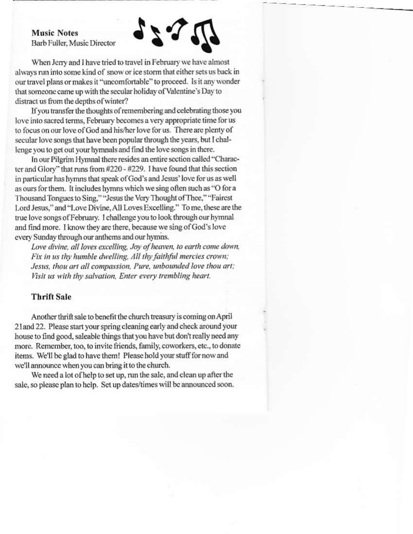**Music Notes** Barb Fuller, Music Director



When Jerry and I have tried to travel in February we have almost always run into some kind of snow or ice storm that either sets us back in our travel plans or makes it "uncomfortable" to proceed. Is it any wonder that someone came up with the secular holiday of Valentine's Day to distract us from the depths of winter?

If you transfer the thoughts of remembering and celebrating those you love into sacred terms, February becomes a very appropriate time for us to focus on our love of God and his/her love for us. There are plenty of secular love songs that have been popular through the years, but I challenge you to get out your hymnals and find the love songs in there.

In our Pilgrim Hymnal there resides an entire section called "Character and Glory" that runs from #220 - #229. I have found that this section in particular has hymns that speak of God's and Jesus' love for us as well as ours for them. It includes hymns which we sing often such as "O for a Thousand Tongues to Sing," "Jesus the Very Thought of Thee," "Fairest Lord Jesus," and "Love Divine, All Loves Excelling." To me, these are the true love songs of February. I challenge you to look through our hymnal and find more. I know they are there, because we sing of God's love every Sunday through our anthems and our hymns.

Love divine, all loves excelling, Joy of heaven, to earth come down, Fix in us thy humble dwelling, All thy faithful mercies crown: Jesus, thou art all compassion, Pure, unbounded love thou art; Visit us with thy salvation, Enter every trembling heart.

#### **Thrift Sale**

Another thrift sale to benefit the church treasury is coming on April 21 and 22. Please start your spring cleaning early and check around your house to find good, saleable things that you have but don't really need any more. Remember, too, to invite friends, family, coworkers, etc., to donate items. We'll be glad to have them! Please hold your stuff for now and we'll announce when you can bring it to the church.

We need a lot of help to set up, run the sale, and clean up after the sale, so please plan to help. Set up dates/times will be announced soon.